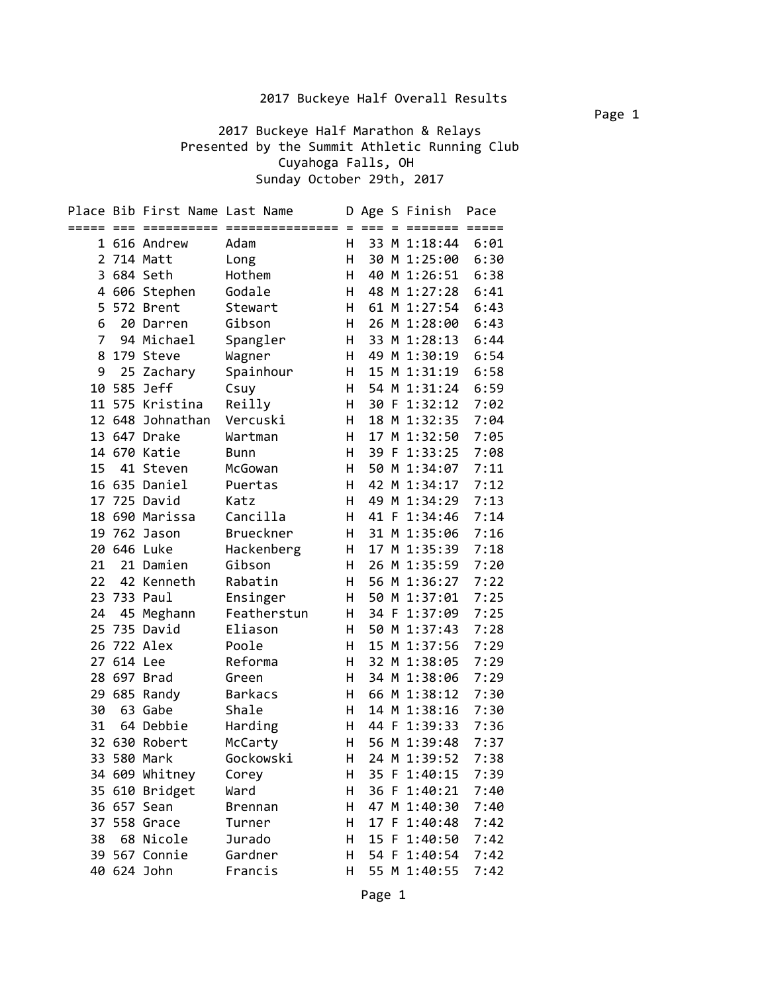2017 Buckeye Half Marathon & Relays Presented by the Summit Athletic Running Club Cuyahoga Falls, OH Sunday October 29th, 2017

|                |         | Place Bib First Name Last Name |                             |          |             |    | D Age S Finish          | Pace                    |
|----------------|---------|--------------------------------|-----------------------------|----------|-------------|----|-------------------------|-------------------------|
| ===== ===      |         |                                | =========================== | $=$<br>н | $=$ $=$ $=$ |    | =======<br>33 M 1:18:44 | $=$ $=$ $=$ $=$<br>6:01 |
| $\overline{2}$ |         | 1 616 Andrew<br>714 Matt       | Adam                        | н        | 30          |    | M 1:25:00               | 6:30                    |
| 3              |         | 684 Seth                       | Long<br>Hothem              | н        | 40          | M  | 1:26:51                 | 6:38                    |
|                |         |                                |                             | н        |             | M  | 1:27:28                 | 6:41                    |
| 4<br>5         |         | 606 Stephen                    | Godale                      | н        | 48          |    | 61 M 1:27:54            |                         |
| 6              |         | 572 Brent<br>20 Darren         | Stewart                     | H        |             |    |                         | 6:43                    |
| $\overline{7}$ |         |                                | Gibson                      | H        |             |    | 26 M 1:28:00            | 6:43<br>6:44            |
|                |         | 94 Michael                     | Spangler                    |          |             |    | 33 M 1:28:13            |                         |
| 8              |         | 179 Steve                      | Wagner                      | H        | 49          |    | M 1:30:19               | 6:54                    |
| 9              |         | 25 Zachary                     | Spainhour                   | н        | 15<br>54    |    | M 1:31:19               | 6:58                    |
| 10             | 585     | Jeff                           | Csuy                        | H        |             | M  | 1:31:24                 | 6:59                    |
| 11             | 575     | Kristina                       | Reilly                      | н        | 30          | -F | 1:32:12                 | 7:02                    |
|                | 12 648  | Johnathan                      | Vercuski                    | н        | 18          | M  | 1:32:35                 | 7:04                    |
|                |         | 13 647 Drake                   | Wartman                     | H        | 17          | M  | 1:32:50                 | 7:05                    |
|                |         | 14 670 Katie                   | Bunn                        | H        | 39          | -F | 1:33:25                 | 7:08                    |
| 15             |         | 41 Steven                      | McGowan                     | H        | 50          |    | M 1:34:07               | 7:11                    |
|                |         | 16 635 Daniel                  | Puertas                     | н        | 42          |    | M 1:34:17               | 7:12                    |
| 17             |         | 725 David                      | Katz                        | н        | 49          | M  | 1:34:29                 | 7:13                    |
| 18             |         | 690 Marissa                    | Cancilla                    | н        | 41 F        |    | 1:34:46                 | 7:14                    |
| 19             |         | 762 Jason                      | Brueckner                   | н        |             |    | 31 M 1:35:06            | 7:16                    |
| 20             |         | 646 Luke                       | Hackenberg                  | H        |             |    | 17 M 1:35:39            | 7:18                    |
| 21             |         | 21 Damien                      | Gibson                      | н        |             |    | 26 M 1:35:59            | 7:20                    |
| 22             |         | 42 Kenneth                     | Rabatin                     | H        |             |    | 56 M 1:36:27            | 7:22                    |
| 23             |         | 733 Paul                       | Ensinger                    | H        | 50          |    | M 1:37:01               | 7:25                    |
| 24             | 45      | Meghann                        | Featherstun                 | H        | 34 F        |    | 1:37:09                 | 7:25                    |
| 25             | 735     | David                          | Eliason                     | н        | 50          | M  | 1:37:43                 | 7:28                    |
| 26             |         | 722 Alex                       | Poole                       | н        | 15          | M  | 1:37:56                 | 7:29                    |
| 27             | 614 Lee |                                | Reforma                     | н        |             |    | 32 M 1:38:05            | 7:29                    |
| 28             |         | 697 Brad                       | Green                       | H        |             |    | 34 M 1:38:06            | 7:29                    |
| 29             |         | 685 Randy<br>Gabe              | <b>Barkacs</b>              | H        |             |    | 66 M 1:38:12            | 7:30                    |
| 30             | 63      |                                | Shale                       | н        | 14 M        |    | 1:38:16                 | 7:30                    |
| 31             |         | 64 Debbie                      | Harding                     | н        | 44 F        |    | 1:39:33                 | 7:36                    |
| 32             |         | 630 Robert                     | McCarty                     | н        | 56 M        |    | 1:39:48                 | 7:37                    |
|                |         | 33 580 Mark                    | Gockowski                   | н        |             |    | 24 M 1:39:52            | 7:38                    |
|                |         | 34 609 Whitney                 | Corey                       | н        |             |    | 35 F 1:40:15            | 7:39                    |
|                |         | 35 610 Bridget                 | Ward                        | н        |             |    | 36 F 1:40:21            | 7:40                    |
|                |         | 36 657 Sean                    | <b>Brennan</b>              | Н        |             |    | 47 M 1:40:30            | 7:40                    |
|                |         | 37 558 Grace                   | Turner                      | Н        |             |    | 17 F 1:40:48            | 7:42                    |
| 38             |         | 68 Nicole                      | Jurado                      | н        |             |    | 15 F 1:40:50            | 7:42                    |
|                |         | 39 567 Connie                  | Gardner                     | H.       |             |    | 54 F 1:40:54            | 7:42                    |
|                |         | 40 624 John                    | Francis                     | н        |             |    | 55 M 1:40:55            | 7:42                    |

Page 1

Page 1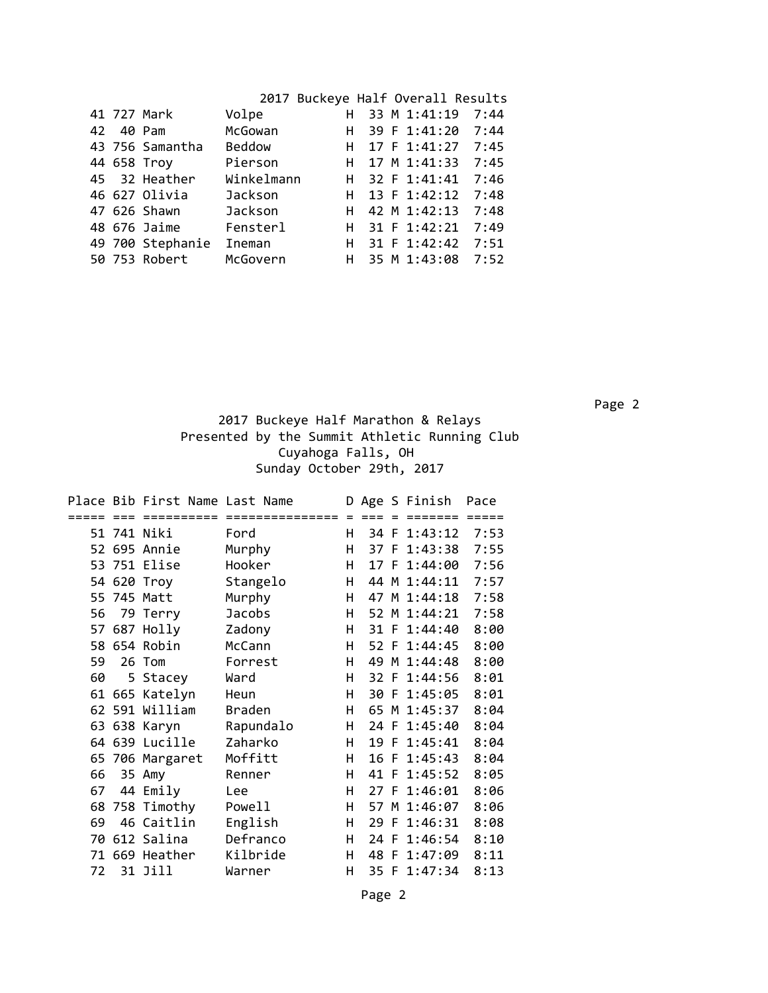|    | 41 727 Mark      | Volpe          |    | H 33 M 1:41:19       | 7:44 |
|----|------------------|----------------|----|----------------------|------|
| 42 | 40 Pam           | McGowan        | н  | 39 F 1:41:20         | 7:44 |
|    | 43 756 Samantha  | <b>Beddow</b>  | H. | 17 F 1:41:27         | 7:45 |
|    | 44 658 Troy      | Pierson        | н  | 17 M 1:41:33         | 7:45 |
|    | 45 32 Heather    | Winkelmann     |    | H 32 F 1:41:41       | 7:46 |
|    | 46 627 Olivia    | <b>Jackson</b> |    | H $13 \t{F} 1:42:12$ | 7:48 |
|    | 47 626 Shawn     | Jackson        |    | H 42 M 1:42:13       | 7:48 |
|    | 48 676 Jaime     | Fensterl       |    | H 31 F 1:42:21       | 7:49 |
|    | 49 700 Stephanie | Ineman         |    | H 31 F 1:42:42       | 7:51 |
|    | 50 753 Robert    | McGovern       | н  | 35 M 1:43:08         | 7:52 |
|    |                  |                |    |                      |      |

 Page 2 2017 Buckeye Half Marathon & Relays Presented by the Summit Athletic Running Club Cuyahoga Falls, OH Sunday October 29th, 2017

|     | Place Bib First Name Last Name |               |   |      | D Age S Finish | Pace |
|-----|--------------------------------|---------------|---|------|----------------|------|
|     |                                |               |   |      |                |      |
|     | 51 741 Niki                    | Ford          | н |      | 34 F 1:43:12   | 7:53 |
|     | 52 695 Annie                   | Murphy        | H |      | 37 F 1:43:38   | 7:55 |
|     | 53 751 Elise                   | Hooker        | H | 17 F | 1:44:00        | 7:56 |
|     | 54 620 Troy                    | Stangelo      | H |      | 44 M 1:44:11   | 7:57 |
|     | 55 745 Matt                    | Murphy        | н | 47   | M 1:44:18      | 7:58 |
| 56  | 79 Terry                       | <b>Jacobs</b> | н |      | 52 M 1:44:21   | 7:58 |
| 57. | 687 Holly                      | Zadony        | H |      | 31 F 1:44:40   | 8:00 |
|     | 58 654 Robin                   | McCann        | H |      | 52 F 1:44:45   | 8:00 |
| 59  | 26 Tom                         | Forrest       | H | 49   | M 1:44:48      | 8:00 |
| 60  | 5 Stacey                       | Ward          | н |      | 32 F 1:44:56   | 8:01 |
| 61  | 665 Katelyn                    | Heun          | н |      | 30 F 1:45:05   | 8:01 |
|     | 62 591 William                 | <b>Braden</b> | H |      | 65 M 1:45:37   | 8:04 |
|     | 63 638 Karyn                   | Rapundalo     | H |      | 24 F 1:45:40   | 8:04 |
|     | 64 639 Lucille                 | Zaharko       | н |      | 19 F 1:45:41   | 8:04 |
|     | 65 706 Margaret                | Moffitt       | н |      | 16 F 1:45:43   | 8:04 |
| 66  | 35 Amy                         | Renner        | н |      | 41 F 1:45:52   | 8:05 |
| 67  | 44 Emily                       | Lee           | н |      | 27 F 1:46:01   | 8:06 |
| 68  | 758 Timothy                    | Powell        | н | 57   | M 1:46:07      | 8:06 |
| 69  | 46 Caitlin                     | English       | Н |      | 29 F 1:46:31   | 8:08 |
| 70  | 612 Salina                     | Defranco      | н | 24 F | 1:46:54        | 8:10 |
|     | 71 669 Heather                 | Kilbride      | н |      | 48 F 1:47:09   | 8:11 |
| 72  | 31 Jill                        | Warner        | н |      | 35 F 1:47:34   | 8:13 |

Page 2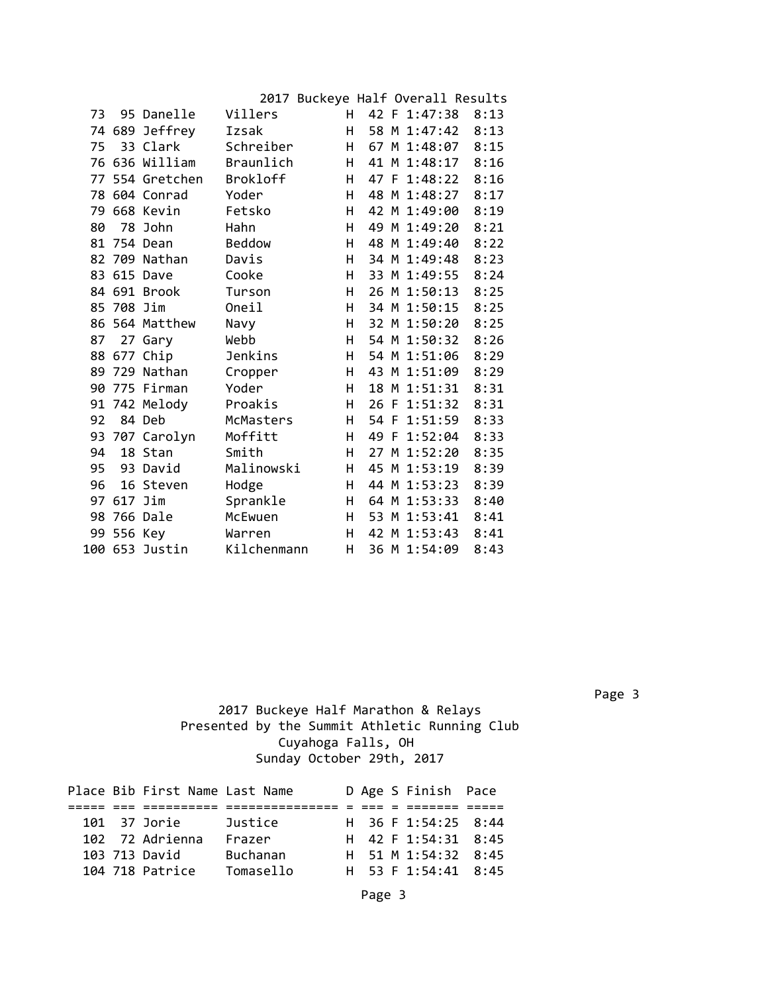|    |            |                 |                 | 2017 Buckeye Half Overall Results |  |              |      |
|----|------------|-----------------|-----------------|-----------------------------------|--|--------------|------|
| 73 |            | 95 Danelle      | Villers         | H.                                |  | 42 F 1:47:38 | 8:13 |
|    |            | 74 689 Jeffrey  | Izsak           | н                                 |  | 58 M 1:47:42 | 8:13 |
| 75 |            | 33 Clark        | Schreiber       | H.                                |  | 67 M 1:48:07 | 8:15 |
|    |            | 76 636 William  | Braunlich       | H.                                |  | 41 M 1:48:17 | 8:16 |
|    |            | 77 554 Gretchen | <b>Brokloff</b> | H.                                |  | 47 F 1:48:22 | 8:16 |
|    |            | 78 604 Conrad   | Yoder           | н                                 |  | 48 M 1:48:27 | 8:17 |
| 79 |            | 668 Kevin       | Fetsko          | H.                                |  | 42 M 1:49:00 | 8:19 |
| 80 |            | 78 John         | Hahn            | H.                                |  | 49 M 1:49:20 | 8:21 |
| 81 |            | 754 Dean        | <b>Beddow</b>   | H                                 |  | 48 M 1:49:40 | 8:22 |
|    |            | 82 709 Nathan   | Davis           | H.                                |  | 34 M 1:49:48 | 8:23 |
|    |            | 83 615 Dave     | Cooke           | H.                                |  | 33 M 1:49:55 | 8:24 |
|    |            | 84 691 Brook    | Turson          | H                                 |  | 26 M 1:50:13 | 8:25 |
|    | 85 708 Jim |                 | Oneil           | H.                                |  | 34 M 1:50:15 | 8:25 |
|    |            | 86 564 Matthew  | Navy            | Н.                                |  | 32 M 1:50:20 | 8:25 |
| 87 |            | 27 Gary         | Webb            | H                                 |  | 54 M 1:50:32 | 8:26 |
|    |            | 88 677 Chip     | Jenkins         | H.                                |  | 54 M 1:51:06 | 8:29 |
|    |            | 89 729 Nathan   | Cropper         | Н.                                |  | 43 M 1:51:09 | 8:29 |
|    |            | 90 775 Firman   | Yoder           | H.                                |  | 18 M 1:51:31 | 8:31 |
|    |            | 91 742 Melody   | Proakis         | H                                 |  | 26 F 1:51:32 | 8:31 |
| 92 |            | 84 Deb          | McMasters       | H.                                |  | 54 F 1:51:59 | 8:33 |
|    |            | 93 707 Carolyn  | Moffitt         | H.                                |  | 49 F 1:52:04 | 8:33 |
| 94 |            | 18 Stan         | Smith           | Η                                 |  | 27 M 1:52:20 | 8:35 |
| 95 |            | 93 David        | Malinowski      | H.                                |  | 45 M 1:53:19 | 8:39 |
| 96 |            | 16 Steven       | Hodge           | H.                                |  | 44 M 1:53:23 | 8:39 |
|    | 97 617 Jim |                 | Sprankle        | H                                 |  | 64 M 1:53:33 | 8:40 |
| 98 |            | 766 Dale        | McEwuen         | н                                 |  | 53 M 1:53:41 | 8:41 |
|    | 99 556 Key |                 | Warren          | н                                 |  | 42 M 1:53:43 | 8:41 |
|    |            | 100 653 Justin  | Kilchenmann     | н                                 |  | 36 M 1:54:09 | 8:43 |

 Page 3 2017 Buckeye Half Marathon & Relays Presented by the Summit Athletic Running Club Cuyahoga Falls, OH Sunday October 29th, 2017

|  | Place Bib First Name Last Name |                 |  | D Age S Finish Pace |  |
|--|--------------------------------|-----------------|--|---------------------|--|
|  |                                |                 |  |                     |  |
|  | 101 37 Jorie                   | Justice         |  | H 36 F 1:54:25 8:44 |  |
|  | 102 72 Adrienna                | Frazer          |  | H 42 F 1:54:31 8:45 |  |
|  | 103 713 David                  | <b>Buchanan</b> |  | H 51 M 1:54:32 8:45 |  |
|  | 104 718 Patrice                | Tomasello       |  | H 53 F 1:54:41 8:45 |  |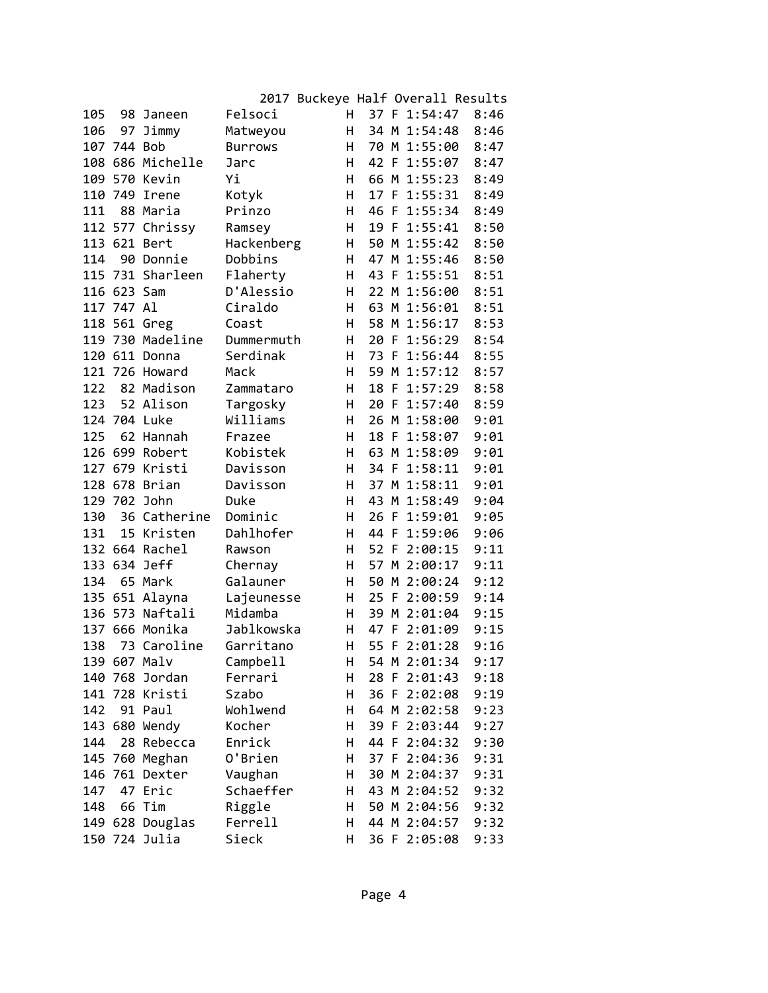| Felsoci<br>37 F 1:54:47<br>105<br>H<br>8:46<br>98 Janeen<br>34 M 1:54:48<br>8:46<br>106<br>97<br>Jimmy<br>н<br>Matweyou<br>107<br>744 Bob<br>70 M 1:55:00<br>8:47<br><b>Burrows</b><br>H<br>108 686 Michelle<br>42 F 1:55:07<br>8:47<br>H.<br>Jarc<br>109 570 Kevin<br>Υi<br>66 M 1:55:23<br>8:49<br>н<br>110 749<br>H<br>17 F 1:55:31<br>8:49<br>Irene<br>Kotyk<br>46 F 1:55:34<br>88 Maria<br>Prinzo<br>Η<br>8:49<br>111<br>112 577 Chrissy<br>H<br>19 F<br>1:55:41<br>8:50<br>Ramsey<br>113 621 Bert<br>Hackenberg<br>50 M 1:55:42<br>8:50<br>H<br>Dobbins<br>47 M 1:55:46<br>114<br>90<br>Donnie<br>н<br>8:50<br>115 731 Sharleen<br>Flaherty<br>43<br>1:55:51<br>8:51<br>н<br>F<br>D'Alessio<br>8:51<br>116 623 Sam<br>H<br>22 M 1:56:00<br>117 747 Al<br>8:51<br>Ciraldo<br>H<br>63 M 1:56:01<br>118 561 Greg<br>H<br>58 M 1:56:17<br>8:53<br>Coast<br>119 730 Madeline<br>Η<br>F 1:56:29<br>8:54<br>Dummermuth<br>20<br>120 611 Donna<br>Serdinak<br>H<br>73 F 1:56:44<br>8:55<br>121 726 Howard<br>59 M 1:57:12<br>8:57<br>Mack<br>н<br>122<br>82 Madison<br>18 F 1:57:29<br>8:58<br>Zammataro<br>H<br>123<br>52 Alison<br>Targosky<br>8:59<br>н<br>20 F 1:57:40<br>Williams<br>124 704 Luke<br>H<br>26 M 1:58:00<br>9:01<br>125<br>62 Hannah<br>Η<br>18 F 1:58:07<br>9:01<br>Frazee<br>126 699 Robert<br>Kobistek<br>Η<br>63 M 1:58:09<br>9:01<br>127<br>679 Kristi<br>Davisson<br>1:58:11<br>9:01<br>н<br>34 F<br>678<br>Brian<br>Davisson<br>37 M 1:58:11<br>9:01<br>128<br>н<br>129 702 John<br>Duke<br>M 1:58:49<br>9:04<br>н<br>43<br>36 Catherine<br>Dominic<br>26 F 1:59:01<br>9:05<br>130<br>н<br>131<br>15 Kristen<br>Dahlhofer<br>H<br>44 F 1:59:06<br>9:06<br>132 664 Rachel<br>H<br>52 F 2:00:15<br>9:11<br>Rawson<br>133 634 Jeff<br>Chernay<br>H<br>57 M 2:00:17<br>9:11<br>134<br>65 Mark<br>50<br>M 2:00:24<br>9:12<br>Galauner<br>н<br>135 651<br>2:00:59<br>9:14<br>Alayna<br>Lajeunesse<br>H<br>25 F<br>136 573 Naftali<br>Midamba<br>39 M 2:01:04<br>9:15<br>н<br>137 666 Monika<br>Jablkowska<br>47 F 2:01:09<br>9:15<br>н<br>138<br>Garritano<br>н<br>55 F 2:01:28<br>9:16<br>73 Caroline<br>139 607 Malv<br>Campbell<br>Н<br>9:17<br>54 M 2:01:34<br>Ferrari<br>140 768 Jordan<br>н<br>28 F 2:01:43<br>9:18<br>141 728 Kristi<br>Szabo<br>н<br>36 F 2:02:08<br>9:19<br>142<br>91 Paul<br>Wohlwend<br>H<br>64 M 2:02:58<br>9:23<br>143 680 Wendy<br>Kocher<br>H<br>39 F 2:03:44<br>9:27<br>144<br>28 Rebecca<br>Enrick<br>H<br>44 F 2:04:32<br>9:30<br>145 760 Meghan<br>O'Brien<br>H<br>37 F 2:04:36<br>9:31<br>146 761 Dexter<br>Vaughan<br>н<br>30 M 2:04:37<br>9:31<br>147<br>Schaeffer<br>47 Eric<br>н<br>43 M 2:04:52<br>9:32<br>Tim<br>Riggle<br>148<br>66<br>Н<br>50 M 2:04:56<br>9:32<br>149 628 Douglas<br>Ferrell<br>н<br>44 M 2:04:57<br>9:32<br>150 724 Julia<br>Sieck<br>Н<br>36 F 2:05:08<br>9:33 |  |  | 2017 Buckeye Half Overall Results |  |  |
|-------------------------------------------------------------------------------------------------------------------------------------------------------------------------------------------------------------------------------------------------------------------------------------------------------------------------------------------------------------------------------------------------------------------------------------------------------------------------------------------------------------------------------------------------------------------------------------------------------------------------------------------------------------------------------------------------------------------------------------------------------------------------------------------------------------------------------------------------------------------------------------------------------------------------------------------------------------------------------------------------------------------------------------------------------------------------------------------------------------------------------------------------------------------------------------------------------------------------------------------------------------------------------------------------------------------------------------------------------------------------------------------------------------------------------------------------------------------------------------------------------------------------------------------------------------------------------------------------------------------------------------------------------------------------------------------------------------------------------------------------------------------------------------------------------------------------------------------------------------------------------------------------------------------------------------------------------------------------------------------------------------------------------------------------------------------------------------------------------------------------------------------------------------------------------------------------------------------------------------------------------------------------------------------------------------------------------------------------------------------------------------------------------------------------------------------------------------------------------------------------------------------------------------------------------------------------------------------------------------------------------------------------------------------------------------------------------------------------------------------------------------------------------------------------------------------------------------------------|--|--|-----------------------------------|--|--|
|                                                                                                                                                                                                                                                                                                                                                                                                                                                                                                                                                                                                                                                                                                                                                                                                                                                                                                                                                                                                                                                                                                                                                                                                                                                                                                                                                                                                                                                                                                                                                                                                                                                                                                                                                                                                                                                                                                                                                                                                                                                                                                                                                                                                                                                                                                                                                                                                                                                                                                                                                                                                                                                                                                                                                                                                                                                 |  |  |                                   |  |  |
|                                                                                                                                                                                                                                                                                                                                                                                                                                                                                                                                                                                                                                                                                                                                                                                                                                                                                                                                                                                                                                                                                                                                                                                                                                                                                                                                                                                                                                                                                                                                                                                                                                                                                                                                                                                                                                                                                                                                                                                                                                                                                                                                                                                                                                                                                                                                                                                                                                                                                                                                                                                                                                                                                                                                                                                                                                                 |  |  |                                   |  |  |
|                                                                                                                                                                                                                                                                                                                                                                                                                                                                                                                                                                                                                                                                                                                                                                                                                                                                                                                                                                                                                                                                                                                                                                                                                                                                                                                                                                                                                                                                                                                                                                                                                                                                                                                                                                                                                                                                                                                                                                                                                                                                                                                                                                                                                                                                                                                                                                                                                                                                                                                                                                                                                                                                                                                                                                                                                                                 |  |  |                                   |  |  |
|                                                                                                                                                                                                                                                                                                                                                                                                                                                                                                                                                                                                                                                                                                                                                                                                                                                                                                                                                                                                                                                                                                                                                                                                                                                                                                                                                                                                                                                                                                                                                                                                                                                                                                                                                                                                                                                                                                                                                                                                                                                                                                                                                                                                                                                                                                                                                                                                                                                                                                                                                                                                                                                                                                                                                                                                                                                 |  |  |                                   |  |  |
|                                                                                                                                                                                                                                                                                                                                                                                                                                                                                                                                                                                                                                                                                                                                                                                                                                                                                                                                                                                                                                                                                                                                                                                                                                                                                                                                                                                                                                                                                                                                                                                                                                                                                                                                                                                                                                                                                                                                                                                                                                                                                                                                                                                                                                                                                                                                                                                                                                                                                                                                                                                                                                                                                                                                                                                                                                                 |  |  |                                   |  |  |
|                                                                                                                                                                                                                                                                                                                                                                                                                                                                                                                                                                                                                                                                                                                                                                                                                                                                                                                                                                                                                                                                                                                                                                                                                                                                                                                                                                                                                                                                                                                                                                                                                                                                                                                                                                                                                                                                                                                                                                                                                                                                                                                                                                                                                                                                                                                                                                                                                                                                                                                                                                                                                                                                                                                                                                                                                                                 |  |  |                                   |  |  |
|                                                                                                                                                                                                                                                                                                                                                                                                                                                                                                                                                                                                                                                                                                                                                                                                                                                                                                                                                                                                                                                                                                                                                                                                                                                                                                                                                                                                                                                                                                                                                                                                                                                                                                                                                                                                                                                                                                                                                                                                                                                                                                                                                                                                                                                                                                                                                                                                                                                                                                                                                                                                                                                                                                                                                                                                                                                 |  |  |                                   |  |  |
|                                                                                                                                                                                                                                                                                                                                                                                                                                                                                                                                                                                                                                                                                                                                                                                                                                                                                                                                                                                                                                                                                                                                                                                                                                                                                                                                                                                                                                                                                                                                                                                                                                                                                                                                                                                                                                                                                                                                                                                                                                                                                                                                                                                                                                                                                                                                                                                                                                                                                                                                                                                                                                                                                                                                                                                                                                                 |  |  |                                   |  |  |
|                                                                                                                                                                                                                                                                                                                                                                                                                                                                                                                                                                                                                                                                                                                                                                                                                                                                                                                                                                                                                                                                                                                                                                                                                                                                                                                                                                                                                                                                                                                                                                                                                                                                                                                                                                                                                                                                                                                                                                                                                                                                                                                                                                                                                                                                                                                                                                                                                                                                                                                                                                                                                                                                                                                                                                                                                                                 |  |  |                                   |  |  |
|                                                                                                                                                                                                                                                                                                                                                                                                                                                                                                                                                                                                                                                                                                                                                                                                                                                                                                                                                                                                                                                                                                                                                                                                                                                                                                                                                                                                                                                                                                                                                                                                                                                                                                                                                                                                                                                                                                                                                                                                                                                                                                                                                                                                                                                                                                                                                                                                                                                                                                                                                                                                                                                                                                                                                                                                                                                 |  |  |                                   |  |  |
|                                                                                                                                                                                                                                                                                                                                                                                                                                                                                                                                                                                                                                                                                                                                                                                                                                                                                                                                                                                                                                                                                                                                                                                                                                                                                                                                                                                                                                                                                                                                                                                                                                                                                                                                                                                                                                                                                                                                                                                                                                                                                                                                                                                                                                                                                                                                                                                                                                                                                                                                                                                                                                                                                                                                                                                                                                                 |  |  |                                   |  |  |
|                                                                                                                                                                                                                                                                                                                                                                                                                                                                                                                                                                                                                                                                                                                                                                                                                                                                                                                                                                                                                                                                                                                                                                                                                                                                                                                                                                                                                                                                                                                                                                                                                                                                                                                                                                                                                                                                                                                                                                                                                                                                                                                                                                                                                                                                                                                                                                                                                                                                                                                                                                                                                                                                                                                                                                                                                                                 |  |  |                                   |  |  |
|                                                                                                                                                                                                                                                                                                                                                                                                                                                                                                                                                                                                                                                                                                                                                                                                                                                                                                                                                                                                                                                                                                                                                                                                                                                                                                                                                                                                                                                                                                                                                                                                                                                                                                                                                                                                                                                                                                                                                                                                                                                                                                                                                                                                                                                                                                                                                                                                                                                                                                                                                                                                                                                                                                                                                                                                                                                 |  |  |                                   |  |  |
|                                                                                                                                                                                                                                                                                                                                                                                                                                                                                                                                                                                                                                                                                                                                                                                                                                                                                                                                                                                                                                                                                                                                                                                                                                                                                                                                                                                                                                                                                                                                                                                                                                                                                                                                                                                                                                                                                                                                                                                                                                                                                                                                                                                                                                                                                                                                                                                                                                                                                                                                                                                                                                                                                                                                                                                                                                                 |  |  |                                   |  |  |
|                                                                                                                                                                                                                                                                                                                                                                                                                                                                                                                                                                                                                                                                                                                                                                                                                                                                                                                                                                                                                                                                                                                                                                                                                                                                                                                                                                                                                                                                                                                                                                                                                                                                                                                                                                                                                                                                                                                                                                                                                                                                                                                                                                                                                                                                                                                                                                                                                                                                                                                                                                                                                                                                                                                                                                                                                                                 |  |  |                                   |  |  |
|                                                                                                                                                                                                                                                                                                                                                                                                                                                                                                                                                                                                                                                                                                                                                                                                                                                                                                                                                                                                                                                                                                                                                                                                                                                                                                                                                                                                                                                                                                                                                                                                                                                                                                                                                                                                                                                                                                                                                                                                                                                                                                                                                                                                                                                                                                                                                                                                                                                                                                                                                                                                                                                                                                                                                                                                                                                 |  |  |                                   |  |  |
|                                                                                                                                                                                                                                                                                                                                                                                                                                                                                                                                                                                                                                                                                                                                                                                                                                                                                                                                                                                                                                                                                                                                                                                                                                                                                                                                                                                                                                                                                                                                                                                                                                                                                                                                                                                                                                                                                                                                                                                                                                                                                                                                                                                                                                                                                                                                                                                                                                                                                                                                                                                                                                                                                                                                                                                                                                                 |  |  |                                   |  |  |
|                                                                                                                                                                                                                                                                                                                                                                                                                                                                                                                                                                                                                                                                                                                                                                                                                                                                                                                                                                                                                                                                                                                                                                                                                                                                                                                                                                                                                                                                                                                                                                                                                                                                                                                                                                                                                                                                                                                                                                                                                                                                                                                                                                                                                                                                                                                                                                                                                                                                                                                                                                                                                                                                                                                                                                                                                                                 |  |  |                                   |  |  |
|                                                                                                                                                                                                                                                                                                                                                                                                                                                                                                                                                                                                                                                                                                                                                                                                                                                                                                                                                                                                                                                                                                                                                                                                                                                                                                                                                                                                                                                                                                                                                                                                                                                                                                                                                                                                                                                                                                                                                                                                                                                                                                                                                                                                                                                                                                                                                                                                                                                                                                                                                                                                                                                                                                                                                                                                                                                 |  |  |                                   |  |  |
|                                                                                                                                                                                                                                                                                                                                                                                                                                                                                                                                                                                                                                                                                                                                                                                                                                                                                                                                                                                                                                                                                                                                                                                                                                                                                                                                                                                                                                                                                                                                                                                                                                                                                                                                                                                                                                                                                                                                                                                                                                                                                                                                                                                                                                                                                                                                                                                                                                                                                                                                                                                                                                                                                                                                                                                                                                                 |  |  |                                   |  |  |
|                                                                                                                                                                                                                                                                                                                                                                                                                                                                                                                                                                                                                                                                                                                                                                                                                                                                                                                                                                                                                                                                                                                                                                                                                                                                                                                                                                                                                                                                                                                                                                                                                                                                                                                                                                                                                                                                                                                                                                                                                                                                                                                                                                                                                                                                                                                                                                                                                                                                                                                                                                                                                                                                                                                                                                                                                                                 |  |  |                                   |  |  |
|                                                                                                                                                                                                                                                                                                                                                                                                                                                                                                                                                                                                                                                                                                                                                                                                                                                                                                                                                                                                                                                                                                                                                                                                                                                                                                                                                                                                                                                                                                                                                                                                                                                                                                                                                                                                                                                                                                                                                                                                                                                                                                                                                                                                                                                                                                                                                                                                                                                                                                                                                                                                                                                                                                                                                                                                                                                 |  |  |                                   |  |  |
|                                                                                                                                                                                                                                                                                                                                                                                                                                                                                                                                                                                                                                                                                                                                                                                                                                                                                                                                                                                                                                                                                                                                                                                                                                                                                                                                                                                                                                                                                                                                                                                                                                                                                                                                                                                                                                                                                                                                                                                                                                                                                                                                                                                                                                                                                                                                                                                                                                                                                                                                                                                                                                                                                                                                                                                                                                                 |  |  |                                   |  |  |
|                                                                                                                                                                                                                                                                                                                                                                                                                                                                                                                                                                                                                                                                                                                                                                                                                                                                                                                                                                                                                                                                                                                                                                                                                                                                                                                                                                                                                                                                                                                                                                                                                                                                                                                                                                                                                                                                                                                                                                                                                                                                                                                                                                                                                                                                                                                                                                                                                                                                                                                                                                                                                                                                                                                                                                                                                                                 |  |  |                                   |  |  |
|                                                                                                                                                                                                                                                                                                                                                                                                                                                                                                                                                                                                                                                                                                                                                                                                                                                                                                                                                                                                                                                                                                                                                                                                                                                                                                                                                                                                                                                                                                                                                                                                                                                                                                                                                                                                                                                                                                                                                                                                                                                                                                                                                                                                                                                                                                                                                                                                                                                                                                                                                                                                                                                                                                                                                                                                                                                 |  |  |                                   |  |  |
|                                                                                                                                                                                                                                                                                                                                                                                                                                                                                                                                                                                                                                                                                                                                                                                                                                                                                                                                                                                                                                                                                                                                                                                                                                                                                                                                                                                                                                                                                                                                                                                                                                                                                                                                                                                                                                                                                                                                                                                                                                                                                                                                                                                                                                                                                                                                                                                                                                                                                                                                                                                                                                                                                                                                                                                                                                                 |  |  |                                   |  |  |
|                                                                                                                                                                                                                                                                                                                                                                                                                                                                                                                                                                                                                                                                                                                                                                                                                                                                                                                                                                                                                                                                                                                                                                                                                                                                                                                                                                                                                                                                                                                                                                                                                                                                                                                                                                                                                                                                                                                                                                                                                                                                                                                                                                                                                                                                                                                                                                                                                                                                                                                                                                                                                                                                                                                                                                                                                                                 |  |  |                                   |  |  |
|                                                                                                                                                                                                                                                                                                                                                                                                                                                                                                                                                                                                                                                                                                                                                                                                                                                                                                                                                                                                                                                                                                                                                                                                                                                                                                                                                                                                                                                                                                                                                                                                                                                                                                                                                                                                                                                                                                                                                                                                                                                                                                                                                                                                                                                                                                                                                                                                                                                                                                                                                                                                                                                                                                                                                                                                                                                 |  |  |                                   |  |  |
|                                                                                                                                                                                                                                                                                                                                                                                                                                                                                                                                                                                                                                                                                                                                                                                                                                                                                                                                                                                                                                                                                                                                                                                                                                                                                                                                                                                                                                                                                                                                                                                                                                                                                                                                                                                                                                                                                                                                                                                                                                                                                                                                                                                                                                                                                                                                                                                                                                                                                                                                                                                                                                                                                                                                                                                                                                                 |  |  |                                   |  |  |
|                                                                                                                                                                                                                                                                                                                                                                                                                                                                                                                                                                                                                                                                                                                                                                                                                                                                                                                                                                                                                                                                                                                                                                                                                                                                                                                                                                                                                                                                                                                                                                                                                                                                                                                                                                                                                                                                                                                                                                                                                                                                                                                                                                                                                                                                                                                                                                                                                                                                                                                                                                                                                                                                                                                                                                                                                                                 |  |  |                                   |  |  |
|                                                                                                                                                                                                                                                                                                                                                                                                                                                                                                                                                                                                                                                                                                                                                                                                                                                                                                                                                                                                                                                                                                                                                                                                                                                                                                                                                                                                                                                                                                                                                                                                                                                                                                                                                                                                                                                                                                                                                                                                                                                                                                                                                                                                                                                                                                                                                                                                                                                                                                                                                                                                                                                                                                                                                                                                                                                 |  |  |                                   |  |  |
|                                                                                                                                                                                                                                                                                                                                                                                                                                                                                                                                                                                                                                                                                                                                                                                                                                                                                                                                                                                                                                                                                                                                                                                                                                                                                                                                                                                                                                                                                                                                                                                                                                                                                                                                                                                                                                                                                                                                                                                                                                                                                                                                                                                                                                                                                                                                                                                                                                                                                                                                                                                                                                                                                                                                                                                                                                                 |  |  |                                   |  |  |
|                                                                                                                                                                                                                                                                                                                                                                                                                                                                                                                                                                                                                                                                                                                                                                                                                                                                                                                                                                                                                                                                                                                                                                                                                                                                                                                                                                                                                                                                                                                                                                                                                                                                                                                                                                                                                                                                                                                                                                                                                                                                                                                                                                                                                                                                                                                                                                                                                                                                                                                                                                                                                                                                                                                                                                                                                                                 |  |  |                                   |  |  |
|                                                                                                                                                                                                                                                                                                                                                                                                                                                                                                                                                                                                                                                                                                                                                                                                                                                                                                                                                                                                                                                                                                                                                                                                                                                                                                                                                                                                                                                                                                                                                                                                                                                                                                                                                                                                                                                                                                                                                                                                                                                                                                                                                                                                                                                                                                                                                                                                                                                                                                                                                                                                                                                                                                                                                                                                                                                 |  |  |                                   |  |  |
|                                                                                                                                                                                                                                                                                                                                                                                                                                                                                                                                                                                                                                                                                                                                                                                                                                                                                                                                                                                                                                                                                                                                                                                                                                                                                                                                                                                                                                                                                                                                                                                                                                                                                                                                                                                                                                                                                                                                                                                                                                                                                                                                                                                                                                                                                                                                                                                                                                                                                                                                                                                                                                                                                                                                                                                                                                                 |  |  |                                   |  |  |
|                                                                                                                                                                                                                                                                                                                                                                                                                                                                                                                                                                                                                                                                                                                                                                                                                                                                                                                                                                                                                                                                                                                                                                                                                                                                                                                                                                                                                                                                                                                                                                                                                                                                                                                                                                                                                                                                                                                                                                                                                                                                                                                                                                                                                                                                                                                                                                                                                                                                                                                                                                                                                                                                                                                                                                                                                                                 |  |  |                                   |  |  |
|                                                                                                                                                                                                                                                                                                                                                                                                                                                                                                                                                                                                                                                                                                                                                                                                                                                                                                                                                                                                                                                                                                                                                                                                                                                                                                                                                                                                                                                                                                                                                                                                                                                                                                                                                                                                                                                                                                                                                                                                                                                                                                                                                                                                                                                                                                                                                                                                                                                                                                                                                                                                                                                                                                                                                                                                                                                 |  |  |                                   |  |  |
|                                                                                                                                                                                                                                                                                                                                                                                                                                                                                                                                                                                                                                                                                                                                                                                                                                                                                                                                                                                                                                                                                                                                                                                                                                                                                                                                                                                                                                                                                                                                                                                                                                                                                                                                                                                                                                                                                                                                                                                                                                                                                                                                                                                                                                                                                                                                                                                                                                                                                                                                                                                                                                                                                                                                                                                                                                                 |  |  |                                   |  |  |
|                                                                                                                                                                                                                                                                                                                                                                                                                                                                                                                                                                                                                                                                                                                                                                                                                                                                                                                                                                                                                                                                                                                                                                                                                                                                                                                                                                                                                                                                                                                                                                                                                                                                                                                                                                                                                                                                                                                                                                                                                                                                                                                                                                                                                                                                                                                                                                                                                                                                                                                                                                                                                                                                                                                                                                                                                                                 |  |  |                                   |  |  |
|                                                                                                                                                                                                                                                                                                                                                                                                                                                                                                                                                                                                                                                                                                                                                                                                                                                                                                                                                                                                                                                                                                                                                                                                                                                                                                                                                                                                                                                                                                                                                                                                                                                                                                                                                                                                                                                                                                                                                                                                                                                                                                                                                                                                                                                                                                                                                                                                                                                                                                                                                                                                                                                                                                                                                                                                                                                 |  |  |                                   |  |  |
|                                                                                                                                                                                                                                                                                                                                                                                                                                                                                                                                                                                                                                                                                                                                                                                                                                                                                                                                                                                                                                                                                                                                                                                                                                                                                                                                                                                                                                                                                                                                                                                                                                                                                                                                                                                                                                                                                                                                                                                                                                                                                                                                                                                                                                                                                                                                                                                                                                                                                                                                                                                                                                                                                                                                                                                                                                                 |  |  |                                   |  |  |
|                                                                                                                                                                                                                                                                                                                                                                                                                                                                                                                                                                                                                                                                                                                                                                                                                                                                                                                                                                                                                                                                                                                                                                                                                                                                                                                                                                                                                                                                                                                                                                                                                                                                                                                                                                                                                                                                                                                                                                                                                                                                                                                                                                                                                                                                                                                                                                                                                                                                                                                                                                                                                                                                                                                                                                                                                                                 |  |  |                                   |  |  |
|                                                                                                                                                                                                                                                                                                                                                                                                                                                                                                                                                                                                                                                                                                                                                                                                                                                                                                                                                                                                                                                                                                                                                                                                                                                                                                                                                                                                                                                                                                                                                                                                                                                                                                                                                                                                                                                                                                                                                                                                                                                                                                                                                                                                                                                                                                                                                                                                                                                                                                                                                                                                                                                                                                                                                                                                                                                 |  |  |                                   |  |  |
|                                                                                                                                                                                                                                                                                                                                                                                                                                                                                                                                                                                                                                                                                                                                                                                                                                                                                                                                                                                                                                                                                                                                                                                                                                                                                                                                                                                                                                                                                                                                                                                                                                                                                                                                                                                                                                                                                                                                                                                                                                                                                                                                                                                                                                                                                                                                                                                                                                                                                                                                                                                                                                                                                                                                                                                                                                                 |  |  |                                   |  |  |
|                                                                                                                                                                                                                                                                                                                                                                                                                                                                                                                                                                                                                                                                                                                                                                                                                                                                                                                                                                                                                                                                                                                                                                                                                                                                                                                                                                                                                                                                                                                                                                                                                                                                                                                                                                                                                                                                                                                                                                                                                                                                                                                                                                                                                                                                                                                                                                                                                                                                                                                                                                                                                                                                                                                                                                                                                                                 |  |  |                                   |  |  |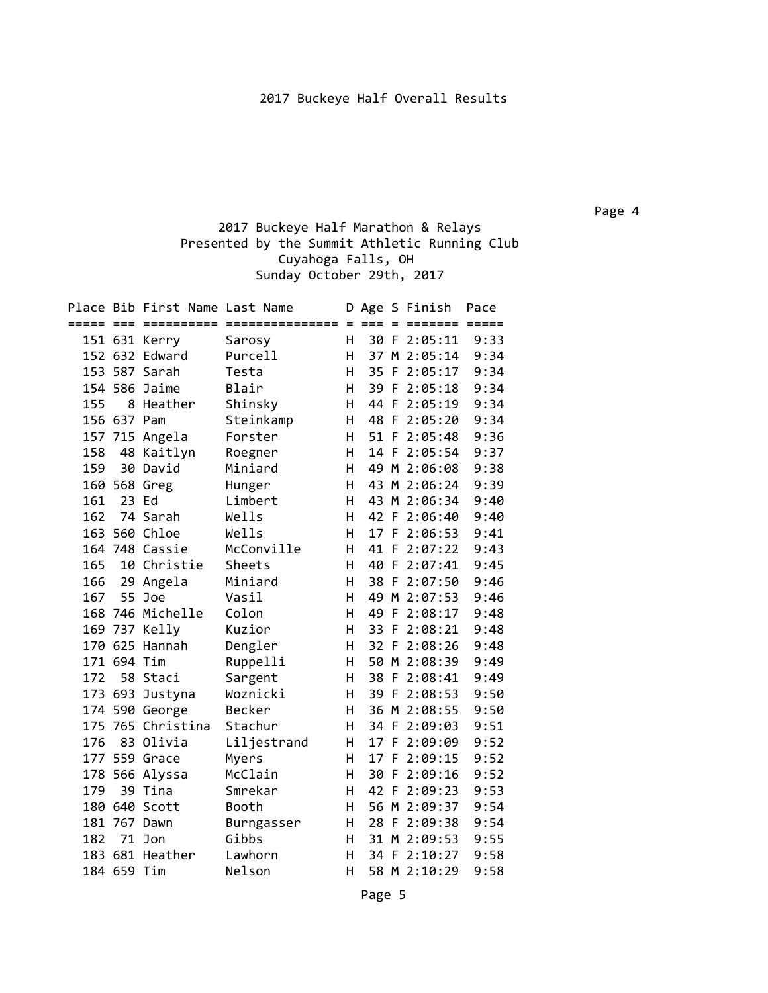## 2017 Buckeye Half Marathon & Relays Presented by the Summit Athletic Running Club Cuyahoga Falls, OH Sunday October 29th, 2017

|     |             | Place Bib First Name Last Name |                   |    |      |          | D Age S Finish | Pace |
|-----|-------------|--------------------------------|-------------------|----|------|----------|----------------|------|
|     |             |                                |                   |    |      | $\equiv$ | ======= =====  |      |
|     |             | 151 631 Kerry                  | Sarosy            | H  |      |          | 30 F 2:05:11   | 9:33 |
|     |             | 152 632 Edward                 | Purcell           | H  |      |          | 37 M 2:05:14   | 9:34 |
|     |             | 153 587 Sarah                  | Testa             | H  |      |          | 35 F 2:05:17   | 9:34 |
|     |             | 154 586 Jaime                  | Blair             | H  | 39   | -F       | 2:05:18        | 9:34 |
| 155 |             | 8 Heather                      | Shinsky           | H  | 44 F |          | 2:05:19        | 9:34 |
|     | 156 637 Pam |                                | Steinkamp         | H  | 48 F |          | 2:05:20        | 9:34 |
|     | 157 715     | Angela                         | Forster           | H. | 51 F |          | 2:05:48        | 9:36 |
| 158 | 48          | Kaitlyn                        | Roegner           | H  |      |          | 14 F 2:05:54   | 9:37 |
| 159 |             | 30 David                       | Miniard           | H  |      |          | 49 M 2:06:08   | 9:38 |
|     |             | 160 568 Greg                   | Hunger            | H. |      |          | 43 M 2:06:24   | 9:39 |
| 161 |             | 23 Ed                          | Limbert           | H  |      |          | 43 M 2:06:34   | 9:40 |
| 162 |             | 74 Sarah                       | Wells             | н  |      |          | 42 F 2:06:40   | 9:40 |
|     |             | 163 560 Chloe                  | Wells             | H  |      |          | 17 F 2:06:53   | 9:41 |
|     |             | 164 748 Cassie                 | McConville        | н  |      |          | 41 F 2:07:22   | 9:43 |
| 165 |             | 10 Christie                    | Sheets            | н  |      |          | 40 F 2:07:41   | 9:45 |
| 166 |             | 29 Angela                      | Miniard           | н  |      |          | 38 F 2:07:50   | 9:46 |
| 167 | 55          | Joe                            | Vasil             | н  | 49   |          | M 2:07:53      | 9:46 |
|     |             | 168 746 Michelle               | Colon             | H  | 49   | F        | 2:08:17        | 9:48 |
|     | 169 737     | Kelly                          | Kuzior            | H  | 33   | F.       | 2:08:21        | 9:48 |
|     |             | 170 625 Hannah                 | Dengler           | H  | 32 F |          | 2:08:26        | 9:48 |
|     | 171 694 Tim |                                | Ruppelli          | H  | 50   |          | M 2:08:39      | 9:49 |
| 172 |             | 58 Staci                       | Sargent           | H  | 38   | F        | 2:08:41        | 9:49 |
|     |             | 173 693 Justyna                | Woznicki          | H  |      |          | 39 F 2:08:53   | 9:50 |
|     |             | 174 590 George                 | Becker            | H  |      |          | 36 M 2:08:55   | 9:50 |
|     |             | 175 765 Christina              | Stachur           | H  |      |          | 34 F 2:09:03   | 9:51 |
| 176 |             | 83 Olivia                      | Liljestrand       | H  | 17 F |          | 2:09:09        | 9:52 |
|     |             | 177 559 Grace                  | Myers             | H  | 17 F |          | 2:09:15        | 9:52 |
|     |             | 178 566 Alyssa                 | McClain           | H  | 30   | -F       | 2:09:16        | 9:52 |
| 179 |             | 39 Tina                        | Smrekar           | H  | 42 F |          | 2:09:23        | 9:53 |
|     |             | 180 640 Scott                  | Booth             | H  |      |          | 56 M 2:09:37   | 9:54 |
|     |             | 181 767 Dawn                   | <b>Burngasser</b> | H. | 28 F |          | 2:09:38        | 9:54 |
| 182 |             | 71 Jon                         | Gibbs             | H. |      |          | 31 M 2:09:53   | 9:55 |
|     |             | 183 681 Heather                | Lawhorn           | н  | 34 F |          | 2:10:27        | 9:58 |
|     | 184 659 Tim |                                | Nelson            | н  |      |          | 58 M 2:10:29   | 9:58 |
|     |             |                                |                   |    |      |          |                |      |

Page 4

Page 5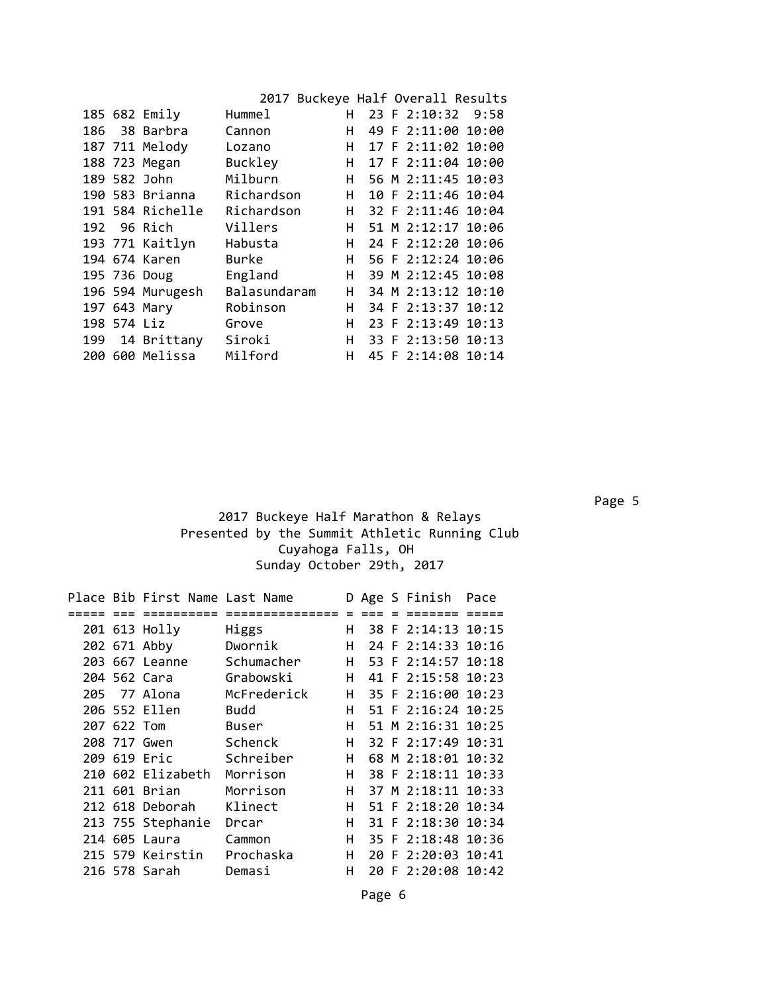|             |                  |              | 2017 Buckeye Half Overall Results |  |                     |  |
|-------------|------------------|--------------|-----------------------------------|--|---------------------|--|
|             | 185 682 Emily    | Hummel       |                                   |  | H 23 F 2:10:32 9:58 |  |
|             | 186 38 Barbra    | Cannon       | H.                                |  | 49 F 2:11:00 10:00  |  |
|             | 187 711 Melody   | Lozano       | H                                 |  | 17 F 2:11:02 10:00  |  |
|             | 188 723 Megan    | Buckley      | H.                                |  | 17 F 2:11:04 10:00  |  |
|             | 189 582 John     | Milburn      | H.                                |  | 56 M 2:11:45 10:03  |  |
|             | 190 583 Brianna  | Richardson   | H                                 |  | 10 F 2:11:46 10:04  |  |
|             | 191 584 Richelle | Richardson   | H                                 |  | 32 F 2:11:46 10:04  |  |
|             | 192 96 Rich      | Villers      | н                                 |  | 51 M 2:12:17 10:06  |  |
|             | 193 771 Kaitlyn  | Habusta      | H.                                |  | 24 F 2:12:20 10:06  |  |
|             | 194 674 Karen    | <b>Burke</b> | н                                 |  | 56 F 2:12:24 10:06  |  |
|             | 195 736 Doug     | England      | H.                                |  | 39 M 2:12:45 10:08  |  |
|             | 196 594 Murugesh | Balasundaram | H.                                |  | 34 M 2:13:12 10:10  |  |
|             | 197 643 Mary     | Robinson     | H.                                |  | 34 F 2:13:37 10:12  |  |
| 198 574 Liz |                  | Grove        | н                                 |  | 23 F 2:13:49 10:13  |  |
|             | 199 14 Brittany  | Siroki       | H.                                |  | 33 F 2:13:50 10:13  |  |
|             | 200 600 Melissa  | Milford      | н                                 |  | 45 F 2:14:08 10:14  |  |

en de la provincia de la construcción de la construcción de la construcción de la construcción de la construcc

 2017 Buckeye Half Marathon & Relays Presented by the Summit Athletic Running Club Cuyahoga Falls, OH Sunday October 29th, 2017

|             | Place Bib First Name Last Name |              |    |  | D Age S Finish Pace |  |
|-------------|--------------------------------|--------------|----|--|---------------------|--|
|             | ========                       | ============ |    |  | =======             |  |
|             | 201 613 Holly                  | Higgs        | н  |  | 38 F 2:14:13 10:15  |  |
|             | 202 671 Abby                   | Dwornik      | н  |  | 24 F 2:14:33 10:16  |  |
|             | 203 667 Leanne                 | Schumacher   | н  |  | 53 F 2:14:57 10:18  |  |
|             | 204 562 Cara                   | Grabowski    | H. |  | 41 F 2:15:58 10:23  |  |
|             | 205 77 Alona                   | McFrederick  | н  |  | 35 F 2:16:00 10:23  |  |
|             | 206 552 Ellen                  | Budd         | н  |  | 51 F 2:16:24 10:25  |  |
| 207 622 Tom |                                | Buser        | н  |  | 51 M 2:16:31 10:25  |  |
|             | 208 717 Gwen                   | Schenck      | H. |  | 32 F 2:17:49 10:31  |  |
|             | 209 619 Eric                   | Schreiber    | H. |  | 68 M 2:18:01 10:32  |  |
|             | 210 602 Elizabeth              | Morrison     | н  |  | 38 F 2:18:11 10:33  |  |
|             | 211 601 Brian                  | Morrison     | H. |  | 37 M 2:18:11 10:33  |  |
|             | 212 618 Deborah                | Klinect      | H. |  | 51 F 2:18:20 10:34  |  |
|             | 213 755 Stephanie              | Drcar        | H. |  | 31 F 2:18:30 10:34  |  |
|             | 214 605 Laura                  | Cammon       | H. |  | 35 F 2:18:48 10:36  |  |
|             | 215 579 Keirstin               | Prochaska    | H. |  | 20 F 2:20:03 10:41  |  |
|             | 216 578 Sarah                  | Demasi       | н  |  | 20 F 2:20:08 10:42  |  |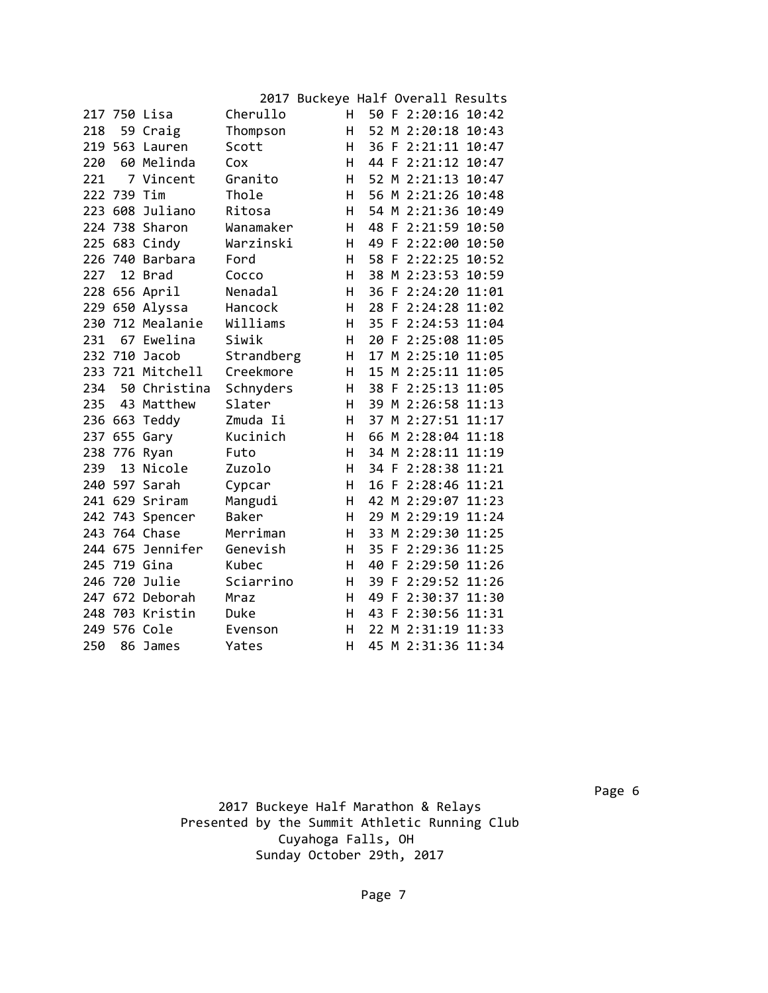|     |             |                  |              | 2017 Buckeye Half Overall Results |      |                    |  |
|-----|-------------|------------------|--------------|-----------------------------------|------|--------------------|--|
|     |             | 217 750 Lisa     | Cherullo     | H.                                |      | 50 F 2:20:16 10:42 |  |
| 218 |             | 59 Craig         | Thompson     | н                                 |      | 52 M 2:20:18 10:43 |  |
|     | 219 563     | Lauren           | Scott        | Н.                                |      | 36 F 2:21:11 10:47 |  |
| 220 |             | 60 Melinda       | Cox          | Н.                                |      | 44 F 2:21:12 10:47 |  |
| 221 |             | 7 Vincent        | Granito      | Н.                                |      | 52 M 2:21:13 10:47 |  |
|     | 222 739 Tim |                  | Thole        | Н.                                |      | 56 M 2:21:26 10:48 |  |
|     |             | 223 608 Juliano  | Ritosa       | H                                 |      | 54 M 2:21:36 10:49 |  |
|     |             | 224 738 Sharon   | Wanamaker    | H                                 |      | 48 F 2:21:59 10:50 |  |
|     |             | 225 683 Cindy    | Warzinski    | н                                 |      | 49 F 2:22:00 10:50 |  |
|     |             | 226 740 Barbara  | Ford         | н                                 |      | 58 F 2:22:25 10:52 |  |
| 227 |             | 12 Brad          | Cocco        | H.                                |      | 38 M 2:23:53 10:59 |  |
|     |             | 228 656 April    | Nenadal      | H                                 |      | 36 F 2:24:20 11:01 |  |
|     |             | 229 650 Alyssa   | Hancock      | H.                                |      | 28 F 2:24:28 11:02 |  |
|     |             | 230 712 Mealanie | Williams     | H.                                |      | 35 F 2:24:53 11:04 |  |
|     |             | 231 67 Ewelina   | Siwik        | H.                                |      | 20 F 2:25:08 11:05 |  |
|     |             | 232 710 Jacob    | Strandberg   | Н.                                |      | 17 M 2:25:10 11:05 |  |
|     |             | 233 721 Mitchell | Creekmore    | Н.                                |      | 15 M 2:25:11 11:05 |  |
| 234 |             | 50 Christina     | Schnyders    | H.                                |      | 38 F 2:25:13 11:05 |  |
| 235 |             | 43 Matthew       | Slater       | H.                                |      | 39 M 2:26:58 11:13 |  |
|     |             | 236 663 Teddy    | Zmuda Ii     | Н.                                |      | 37 M 2:27:51 11:17 |  |
|     |             | 237 655 Gary     | Kucinich     | H                                 |      | 66 M 2:28:04 11:18 |  |
|     |             | 238 776 Ryan     | Futo         | H                                 |      | 34 M 2:28:11 11:19 |  |
| 239 |             | 13 Nicole        | Zuzolo       | H.                                |      | 34 F 2:28:38 11:21 |  |
|     |             | 240 597 Sarah    | Cypcar       | H.                                |      | 16 F 2:28:46 11:21 |  |
|     |             | 241 629 Sriram   | Mangudi      | H.                                |      | 42 M 2:29:07 11:23 |  |
|     |             | 242 743 Spencer  | <b>Baker</b> | H.                                |      | 29 M 2:29:19 11:24 |  |
|     |             | 243 764 Chase    | Merriman     | H.                                |      | 33 M 2:29:30 11:25 |  |
|     |             | 244 675 Jennifer | Genevish     | H                                 |      | 35 F 2:29:36 11:25 |  |
|     |             | 245 719 Gina     | Kubec        | H.                                |      | 40 F 2:29:50 11:26 |  |
| 246 |             | 720 Julie        | Sciarrino    | H                                 | 39 F | 2:29:52 11:26      |  |
|     |             | 247 672 Deborah  | Mraz         | H.                                |      | 49 F 2:30:37 11:30 |  |
|     |             | 248 703 Kristin  | Duke         | H                                 |      | 43 F 2:30:56 11:31 |  |
|     |             | 249 576 Cole     | Evenson      | н                                 |      | 22 M 2:31:19 11:33 |  |
| 250 |             | 86 James         | Yates        | н                                 |      | 45 M 2:31:36 11:34 |  |

en de la provincia de la construcción de la construcción de la construcción de la construcción de la construcc 2017 Buckeye Half Marathon & Relays Presented by the Summit Athletic Running Club Cuyahoga Falls, OH Sunday October 29th, 2017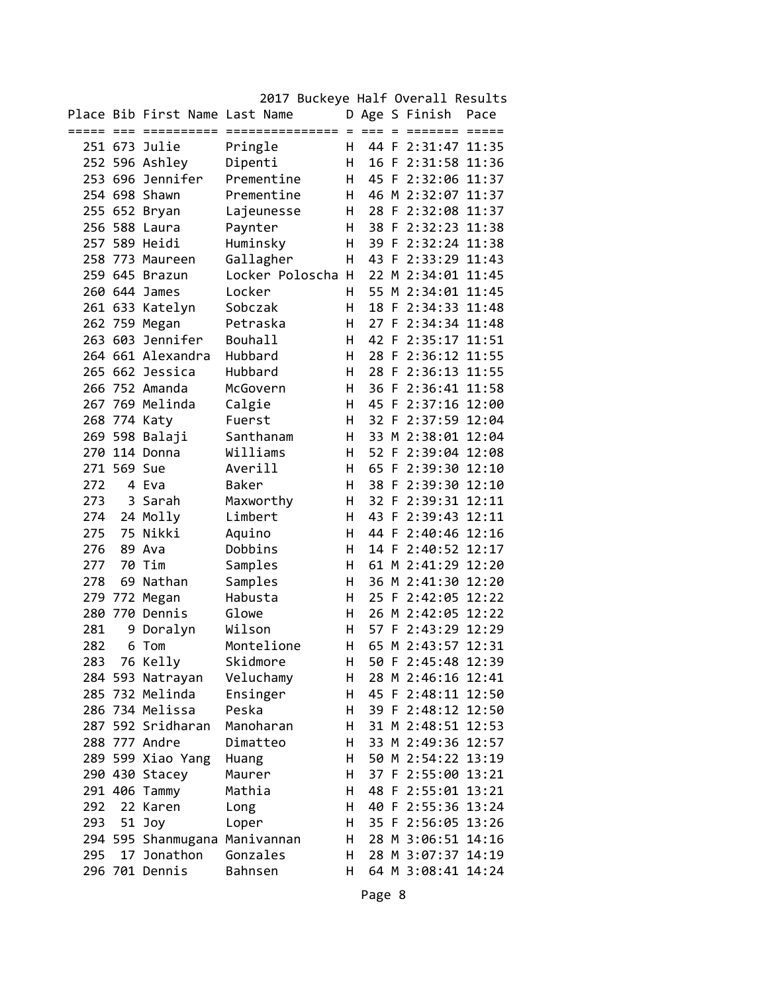|            |             | Place Bib First Name Last Name |                 | D.  |       | Age S Finish       | Pace  |
|------------|-------------|--------------------------------|-----------------|-----|-------|--------------------|-------|
|            |             | :======                        | =============== | $=$ | $===$ | =======            |       |
| 251 673    |             | Julie                          | Pringle         | H.  |       | 44 F 2:31:47       | 11:35 |
|            |             | 252 596 Ashley                 | Dipenti         | H.  | 16 F  | 2:31:58 11:36      |       |
|            |             | 253 696 Jennifer               | Prementine      | н   |       | 45 F 2:32:06 11:37 |       |
|            |             | 254 698 Shawn                  | Prementine      | H   |       | 46 M 2:32:07 11:37 |       |
|            |             | 255 652 Bryan                  | Lajeunesse      | н   |       | 28 F 2:32:08 11:37 |       |
|            |             | 256 588 Laura                  | Paynter         | H   |       | 38 F 2:32:23 11:38 |       |
|            |             | 257 589 Heidi                  | Huminsky        | н   |       | 39 F 2:32:24 11:38 |       |
| 258        | 773         | Maureen                        | Gallagher       | н   |       | 43 F 2:33:29 11:43 |       |
| 259        | 645         | <b>Brazun</b>                  | Locker Poloscha | H   |       | 22 M 2:34:01       | 11:45 |
|            |             | 260 644 James                  | Locker          | H.  |       | 55 M 2:34:01 11:45 |       |
|            |             | 261 633 Katelyn                | Sobczak         | н   |       | 18 F 2:34:33 11:48 |       |
|            |             | 262 759 Megan                  | Petraska        | H   |       | 27 F 2:34:34 11:48 |       |
|            |             | 263 603 Jennifer               | <b>Bouhall</b>  | H   |       | 42 F 2:35:17 11:51 |       |
|            |             | 264 661 Alexandra              | Hubbard         | н   | 28 F  | 2:36:12 11:55      |       |
|            |             | 265 662 Jessica                | Hubbard         | н   | 28 F  | 2:36:13            | 11:55 |
|            |             | 266 752 Amanda                 | McGovern        | н   | 36 F  | 2:36:41 11:58      |       |
|            |             | 267 769 Melinda                | Calgie          | н   |       | 45 F 2:37:16 12:00 |       |
|            |             | 268 774 Katy                   | Fuerst          | н   |       | 32 F 2:37:59 12:04 |       |
|            |             | 269 598 Balaji                 | Santhanam       | H   |       | 33 M 2:38:01 12:04 |       |
|            |             | 270 114 Donna                  | Williams        | н   |       | 52 F 2:39:04 12:08 |       |
|            | 271 569 Sue |                                | Averill         | н   | 65 F  | 2:39:30 12:10      |       |
| 272        |             | 4 Eva                          | Baker           | н   | 38 F  | 2:39:30 12:10      |       |
| 273        | 3           | Sarah                          | Maxworthy       | н   | 32 F  | 2:39:31            | 12:11 |
| 274        | 24          | Molly                          | Limbert         | н   | 43 F  | 2:39:43            | 12:11 |
| 275        | 75          | Nikki                          | Aquino          | н   |       | 44 F 2:40:46 12:16 |       |
| 276        |             | 89 Ava                         | Dobbins         | н   |       | 14 F 2:40:52 12:17 |       |
| 277        | 70          | Tim                            | Samples         | H   |       | 61 M 2:41:29 12:20 |       |
| 278        | 69          | Nathan                         | Samples         | н   |       | 36 M 2:41:30 12:20 |       |
| 279        | 772         | Megan                          | Habusta         | н   |       | 25 F 2:42:05 12:22 |       |
| 280        | 770         | Dennis                         | Glowe           | н   |       | 26 M 2:42:05       | 12:22 |
|            |             |                                | Wilson          | н   | 57 F  | 2:43:29 12:29      |       |
| 281<br>282 | 9           | Doralyn<br>6 Tom               | Montelione      | н   |       | 65 M 2:43:57 12:31 |       |
|            |             |                                | Skidmore        | H   |       | 50 F 2:45:48 12:39 |       |
| 283        |             | 76 Kelly                       |                 |     |       |                    |       |
|            |             | 284 593 Natrayan               | Veluchamy       | н   |       | 28 M 2:46:16 12:41 |       |
|            |             | 285 732 Melinda                | Ensinger        | н   |       | 45 F 2:48:11 12:50 |       |
|            |             | 286 734 Melissa                | Peska           | н   |       | 39 F 2:48:12 12:50 |       |
|            |             | 287 592 Sridharan              | Manoharan       | н   |       | 31 M 2:48:51 12:53 |       |
|            |             | 288 777 Andre                  | Dimatteo        | н   |       | 33 M 2:49:36 12:57 |       |
|            |             | 289 599 Xiao Yang              | Huang           | н   |       | 50 M 2:54:22 13:19 |       |
|            |             | 290 430 Stacey                 | Maurer          | н   |       | 37 F 2:55:00 13:21 |       |
|            |             | 291 406 Tammy                  | Mathia          | н   |       | 48 F 2:55:01 13:21 |       |
| 292        |             | 22 Karen                       | Long            | н   |       | 40 F 2:55:36 13:24 |       |
| 293        | 51          | Joy                            | Loper           | Н   |       | 35 F 2:56:05 13:26 |       |
|            |             | 294 595 Shanmugana             | Manivannan      | Н   |       | 28 M 3:06:51 14:16 |       |
| 295        | 17          | Jonathon                       | Gonzales        | Н   |       | 28 M 3:07:37       | 14:19 |
|            |             | 296 701 Dennis                 | Bahnsen         | н   |       | 64 M 3:08:41 14:24 |       |